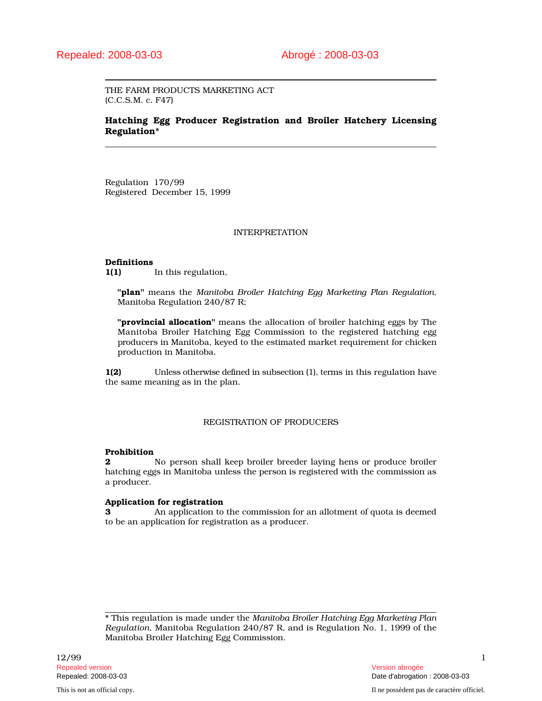THE FARM PRODUCTS MARKETING ACT (C.C.S.M. c. F47)

# Hatching Egg Producer Registration and Broiler Hatchery Licensing Regulation\*

Regulation 170/99 Registered December 15, 1999

#### INTERPRETATION

#### Definitions

1(1) In this regulation,

"plan" means the *Manitoba Broiler Hatching Egg Marketing Plan Regulation*, Manitoba Regulation 240/87 R;

"**provincial allocation**" means the allocation of broiler hatching eggs by The Manitoba Broiler Hatching Egg Commission to the registered hatching egg producers in Manitoba, keyed to the estimated market requirement for chicken production in Manitoba.

1(2) Unless otherwise defined in subsection (1), terms in this regulation have the same meaning as in the plan.

#### REGISTRATION OF PRODUCERS

# Prohibition

2 No person shall keep broiler breeder laying hens or produce broiler hatching eggs in Manitoba unless the person is registered with the commission as a producer.

# Application for registration

3 An application to the commission for an allotment of quota is deemed to be an application for registration as a producer.

\* This regulation is made under the *Manitoba Broiler Hatching Egg Marketing Plan Regulation*, Manitoba Regulation 240/87 R, and is Regulation No. 1, 1999 of the Manitoba Broiler Hatching Egg Commission.

 $12/99$  1 Repealed version abrogée et al. Alian abrogée et al. Alian abrogée et al. Alian abrogée et al. Alian abrogée e

Repealed: 2008-03-03 Date d'abrogation : 2008-03-03

This is not an official copy. Il ne possèdent pas de caractère officiel.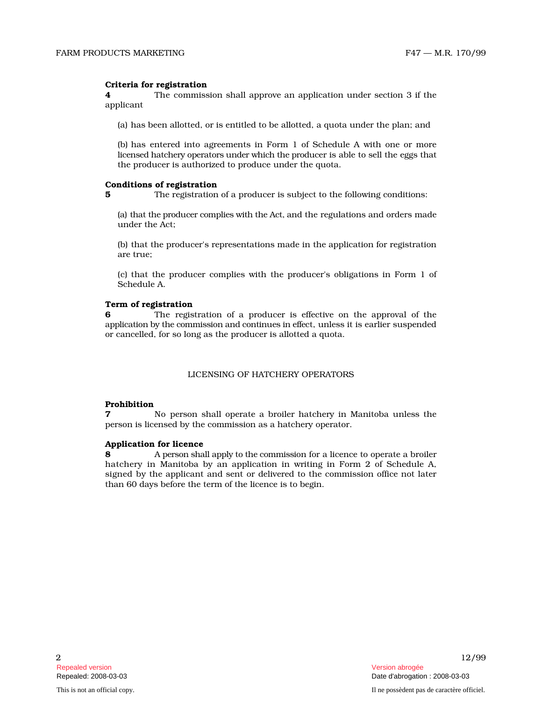## Criteria for registration

**4** The commission shall approve an application under section 3 if the applicant

(a) has been allotted, or is entitled to be allotted, a quota under the plan; and

(b) has entered into agreements in Form 1 of Schedule A with one or more licensed hatchery operators under which the producer is able to sell the eggs that the producer is authorized to produce under the quota.

# Conditions of registration

5 The registration of a producer is subject to the following conditions:

(a) that the producer complies with the Act, and the regulations and orders made under the Act;

(b) that the producer's representations made in the application for registration are true;

(c) that the producer complies with the producer's obligations in Form 1 of Schedule A.

#### Term of registration

**6** The registration of a producer is effective on the approval of the application by the commission and continues in effect, unless it is earlier suspended or cancelled, for so long as the producer is allotted a quota.

## LICENSING OF HATCHERY OPERATORS

#### Prohibition

7 No person shall operate a broiler hatchery in Manitoba unless the person is licensed by the commission as a hatchery operator.

#### Application for licence

**8** A person shall apply to the commission for a licence to operate a broiler hatchery in Manitoba by an application in writing in Form 2 of Schedule A, signed by the applicant and sent or delivered to the commission office not later than 60 days before the term of the licence is to begin.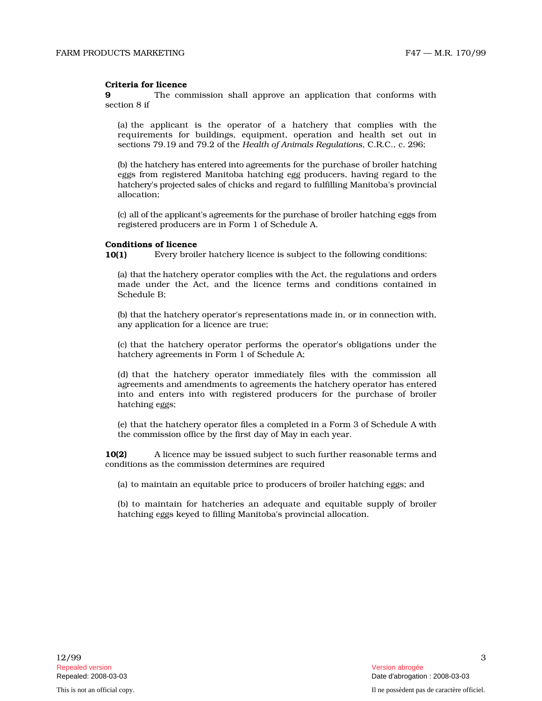## Criteria for licence

**9** The commission shall approve an application that conforms with section 8 if

(a) the applicant is the operator of a hatchery that complies with the requirements for buildings, equipment, operation and health set out in sections 79.19 and 79.2 of the *Health of Animals Regulations*, C.R.C., c. 296;

(b) the hatchery has entered into agreements for the purchase of broiler hatching eggs from registered Manitoba hatching egg producers, having regard to the hatchery's projected sales of chicks and regard to fulfilling Manitoba's provincial

allocation;<br>(c) all of the applicant's agreements for the purchase of broiler hatching eggs from registered producers are in Form 1 of Schedule A.

#### Conditions of licence

10(1) Every broiler hatchery licence is subject to the following conditions:

(a) that the hatchery operator complies with the Act, the regulations and orders made under the Act, and the licence terms and conditions contained in Schedule B;

(b) that the hatchery operator's representations made in, or in connection with, any application for a licence are true;

(c) that the hatchery operator performs the operator's obligations under the hatchery agreements in Form 1 of Schedule A;

(d) that the hatchery operator immediately files with the commission all agreements and amendments to agreements the hatchery operator has entered into and enters into with registered producers for the purchase of broiler hatching eggs;

(e) that the hatchery operator files a completed in a Form 3 of Schedule A with the commission office by the first day of May in each year.

10(2) A licence may be issued subject to such further reasonable terms and conditions as the commission determines are required

(a) to maintain an equitable price to producers of broiler hatching eggs; and

(b) to maintain for hatcheries an adequate and equitable supply of broil e r hatching eggs keyed to filling Manitoba's provincial allocation.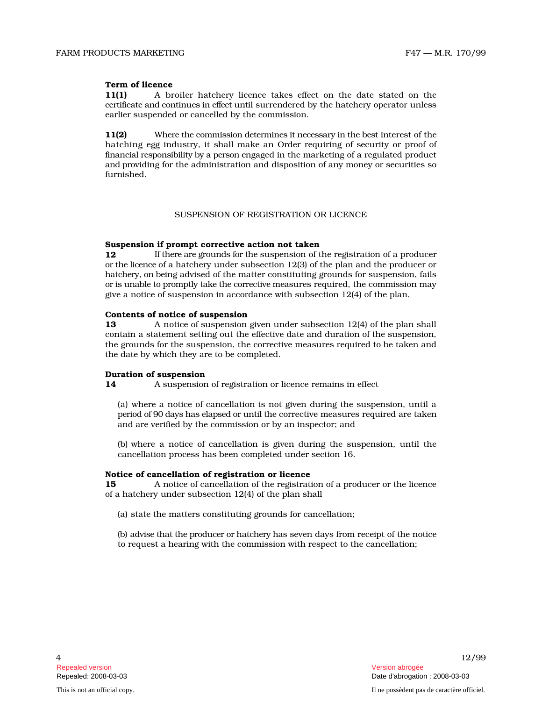# Term of licence

11(1) A broiler hatchery licence takes effect on the date stated on the certificate and continues in effect until surrendered by the hatchery operator unless earlier suspended or cancelled by the commission.

11(2) Where the commission determines it necessary in the best interest of the hatching egg industry, it shall make an Order requiring of security or proof of financial responsibility by a person engaged in the marketing of a regulated product and p r oviding for the administration and disposition of any money or securities so furnished.

## SUSPENSION OF REGISTRATION OR LICENCE

#### Suspension if prompt corrective action not taken

12 If there are grounds for the suspension of the registration of a producer or the lice nce of a hatchery under subsection 12(3) of the plan and the producer or h at c h e ry, on b eing advised of the matter constituting grounds for suspension, fails or is unable to promptly take the corrective measures required, the commission may give a notice of suspension in accordance with subsection 12(4) of the plan.

#### Contents of notice of suspension

13 A notice of suspension given under subsection 12(4) of the plan shall contain a statement setting out the effective date and duration of the suspension, the grounds for the suspension, the corrective measures required to be taken and the date by which they are to be completed.

#### Duration of suspension

14 A suspension of registration or licence remains in effect<br>(a) where a notice of cancellation is not given during the suspension, until a p e ri od of 90 d ays h as e l apsed or u n til th e corrective measures required are taken and are verified by the commission or by an inspector; and

(b) where a notice of cancellation is given during the suspension, until the cancellation process has been completed under section 16.

#### Notice of cancellation of registration or licence

15 A n o t ice of cancellation of the registration of a producer or the licence of a hatchery under subsection 12(4) of the plan shall

(a) state the matters constituting grounds for cancellation;

(b) advise that the producer or hatchery has seven days from receipt of the notice to request a hearing with the commission with respect to the cancellation;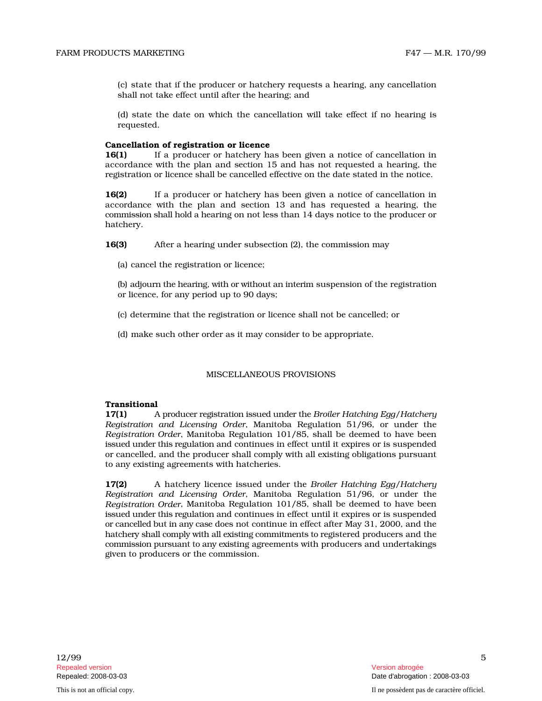(c) state that if the producer or hatchery requests a hearing, any cancellation shall not take effect until after the hearing; and

(d) state the date on which the cancellation will take effect if no hearing is requested.

#### Cancellation of registration or licence

16(1) If a producer or hatchery has been given a notice of cancellation in accordance with the plan and section 15 and has not requested a hearing, the registration or licence shall be cancelled effective on the date stated in the notice.

16(2) If a producer or hatchery has been given a notice of cancellation in accordance with the plan and section 13 and has requested a hearing, the commission shall hold a hearing on not less than 14 days notice to the producer or hatchery.

16(3) After a hearing under subsection (2), the commission may

(a) cancel the registration or licence;

(b) adjourn the hearing, with or without an interim suspension of the registration or licence, for any period up to 90 days;

- (c) determine that the registration or licence shall not be cancelled; or
- (d) make such other order as it may consider to be appropriate.

## MISCELLANEOUS PROVISIONS

#### **Transitional**

 $17(1)$ p r o d ucer r e gi s trati on iss u ed u n d er the *Broiler Hatching Egg/Hatchery* Registration and Licensing Order, Manitoba Regulation 51/96, or under the *Registration Order*, Manitoba Regulation 101/85, shall be deemed to have been issued under this regulation and continues in effect until it expires or is suspended or cancelled, and the producer shall comply with all existing obligations pursuant to any existing agreements with hatcheries.

17(2) A hatchery licence issued under the *Broiler Hatching Egg*/Hatchery Registration and Licensing Order, Manitoba Regulation 51/96, or under the *Registration Order*, Manitoba Regulation 101/85, shall be deemed to have been issued under this regulation and continues in effect until it expires or is suspended or c ancell ed b ut in any c ase does not continue in effect after May 31, 2000, and the hatchery shall comply with all existing commitments to registered producers and the c omm iss i on p u r s u ant to any exi sting agreements with producers and undertakings given to producers or the commission.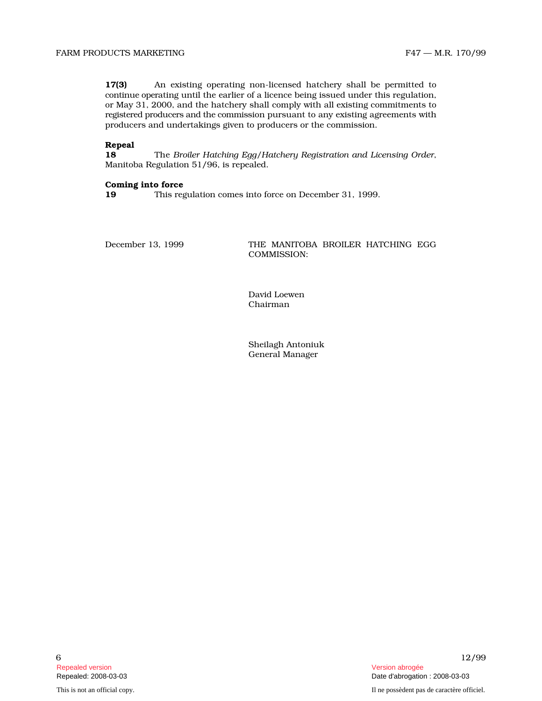$17(3)$ existing operating non-licensed hatchery shall be permitted to c o n ti n ue o p e rating until the earlier of a licence being issued under this regulation, or May 31, 2000, and the hatchery shall comply with all existing commitments to registered producers and the commission pursuant to any existing agreements with producers and undertakings given to producers or the commission.

## Repeal

18 The Broiler Hatching Egg/Hatchery Registration and Licensing Order, Manitoba Regulation 51/96, is repealed.

## Coming into force

19 This regulation comes into force on December 31, 1999.

December 13, 1999

MANITOBA BROILER HATCHING EGG COMMISSION:

David Loewen Chairman

Sheilagh Antoniuk General Manager

Repealed version Version abrogée

This is not an official copy. Il ne possèdent pas de caractère officiel.

6  $12/99$ Repealed: 2008-03-03 Date d'abrogation : 2008-03-03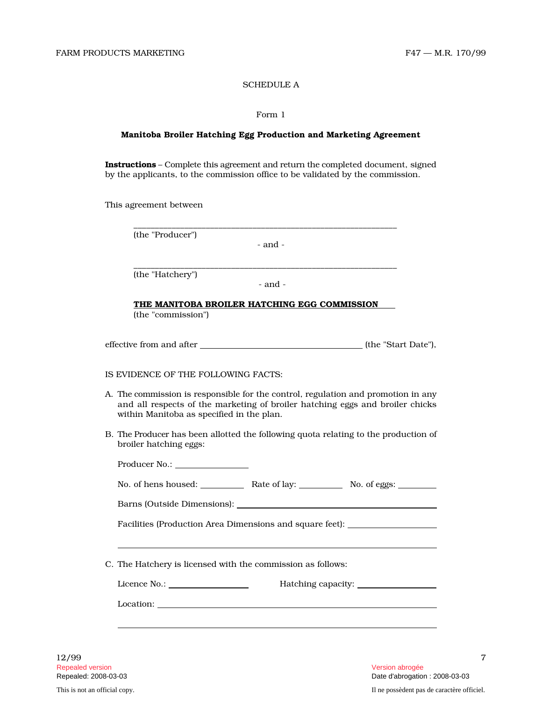# SCHEDULE A

## Form 1

#### Manitoba Broiler Hatching Egg Production and Marketing Agreement

Instructions – Complete this agreement and return the completed document, signed by the applicants, to the commission office to be validated by the commission.

This agreement between

(the "Producer")

- and -

\_\_\_\_\_\_\_\_\_\_\_\_\_\_\_\_\_\_\_\_\_\_\_\_\_\_\_\_\_\_\_\_\_\_\_\_\_\_\_\_\_\_\_\_\_\_\_\_\_\_\_\_\_\_\_\_\_\_\_\_\_\_

\_\_\_\_\_\_\_\_\_\_\_\_\_\_\_\_\_\_\_\_\_\_\_\_\_\_\_\_\_\_\_\_\_\_\_\_\_\_\_\_\_\_\_\_\_\_\_\_\_\_\_\_\_\_\_\_\_\_\_\_\_\_

(the "Hatchery")

- and -

THE MANITOBA BROILER HATCHING EGG COMMISSION (the "commission")

| effective from and after | (the "Start Date"), |
|--------------------------|---------------------|
|--------------------------|---------------------|

## IS EVIDENCE OF THE FOLLOWING FACTS:

- A. The c ommission is responsible for the control, regulation and promotion in any and all respects of the marketing of broiler hatching eggs and broiler chicks within Manitoba as specified in the plan.
- B. The Producer has been allotted the following quota relating to the production of broiler hatching eggs:

| Producer No.: __________________                                                                                                                                                                                                                                                                                                                                                                                                                                                                                                                                     |  |  |  |  |  |
|----------------------------------------------------------------------------------------------------------------------------------------------------------------------------------------------------------------------------------------------------------------------------------------------------------------------------------------------------------------------------------------------------------------------------------------------------------------------------------------------------------------------------------------------------------------------|--|--|--|--|--|
| No. of hens housed: Rate of lay: No. of eggs: No. of eggs.                                                                                                                                                                                                                                                                                                                                                                                                                                                                                                           |  |  |  |  |  |
|                                                                                                                                                                                                                                                                                                                                                                                                                                                                                                                                                                      |  |  |  |  |  |
| Facilities (Production Area Dimensions and square feet): _______________________                                                                                                                                                                                                                                                                                                                                                                                                                                                                                     |  |  |  |  |  |
|                                                                                                                                                                                                                                                                                                                                                                                                                                                                                                                                                                      |  |  |  |  |  |
| C. The Hatchery is licensed with the commission as follows:                                                                                                                                                                                                                                                                                                                                                                                                                                                                                                          |  |  |  |  |  |
| Licence No.:                                                                                                                                                                                                                                                                                                                                                                                                                                                                                                                                                         |  |  |  |  |  |
| $\text{Location:}\n \underline{\hspace{2cm}}\n \underline{\hspace{2cm}}\n \underline{\hspace{2cm}}\n \underline{\hspace{2cm}}\n \underline{\hspace{2cm}}\n \underline{\hspace{2cm}}\n \underline{\hspace{2cm}}\n \underline{\hspace{2cm}}\n \underline{\hspace{2cm}}\n \underline{\hspace{2cm}}\n \underline{\hspace{2cm}}\n \underline{\hspace{2cm}}\n \underline{\hspace{2cm}}\n \underline{\hspace{2cm}}\n \underline{\hspace{2cm}}\n \underline{\hspace{2cm}}\n \underline{\hspace{2cm}}\n \underline{\hspace{2cm}}\n \underline{\hspace{2cm}}\n \underline{\hs$ |  |  |  |  |  |
|                                                                                                                                                                                                                                                                                                                                                                                                                                                                                                                                                                      |  |  |  |  |  |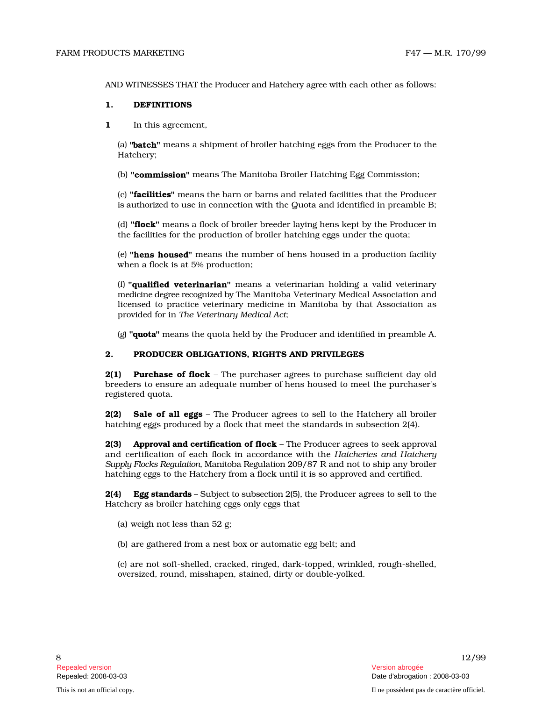## 1. DEFINITIONS

1 In this agreement,

(a) "batch" means a shipment of broiler hatching eggs from the Producer to the Hatchery;

(b) "commission" means The Manitoba Broiler Hatching Egg Commission;

(c) "facilities" means the barn or barns and related facilities that the Producer is authorized to use in connection with the Quota and identified in preamble B;

(d) "**flock**" means a flock of broiler breeder laying hens kept by the Producer in the facilities for the production of broiler hatching eggs under the quota;

(e) "hens housed" means the number of hens housed in a production facility when a flock is at 5% production;

(f) "qualified veterinarian" means a veterinarian holding a valid veterinary medicine degree recognized by The Manitoba Veterinary Medical Association and licensed to practice veterinary medicine in Manitoba by that Association as provided for in *The Veterinary Medical Act* ;

(g) "**quota**" means the quota held by the Producer and identified in preamble A.

# 2. PRODUCER OBLIGATIONS, RIGHTS AND PRIVILEGES

**2(1) Purchase of flock** – The purchaser agrees to purchase sufficient day old breeders to ensure an adequate number of hens housed to meet the purchaser's registered quota.

2(2) Sale of all eggs - The Producer agrees to sell to the Hatchery all broiler hatching eggs produced by a flock that meet the standards in subsection 2(4).

AND WITNESSES THAT the Producer and Hatchery agree with each other as follows:<br>
1. Data agreement,<br>
1. In this agreement,<br>
1. In this agreement,<br>
1. In this agreement,<br>
1. In this agreement of herefore hatchers are assume 2(3) Approval and certification of flock - The Producer agrees to seek approval and certification of each flock in accordance with the Hatcheries and Hatchery Supply Flocks Regulation, Manitoba Regulation 209/87 R and not to ship any broiler hatching eggs to the Hatchery from a flock until it is so approved and certified.

2(4) **Egg standards** – Subject to subsection 2(5), the Producer agrees to sell to the Hatchery as broiler hatching eggs only eggs that

(a) weigh not less than 52 g;

(b) are gathered from a nest box or automatic egg belt; and

(c) are not soft-shelled, cracked, ringed, dark-topped, wrinkled, rough-shelled, oversized, round, misshapen, stained, dirty or double-yolked.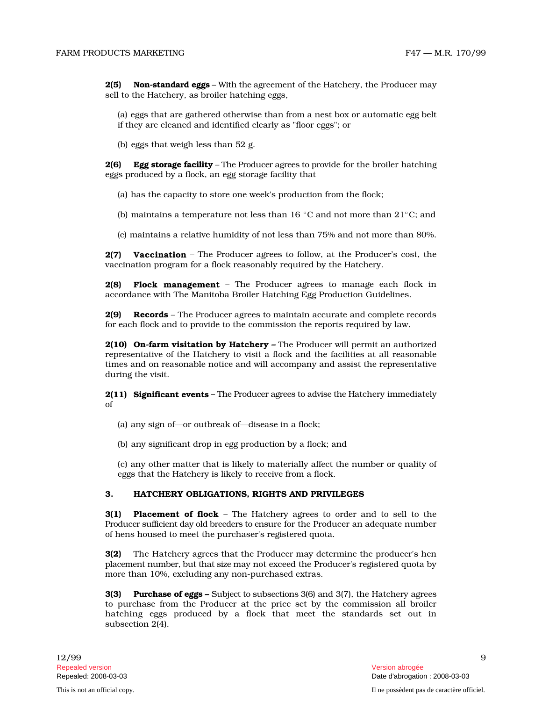2(5) **Non-standard eggs –** With the agreement of the Hatchery, the Producer may sell to the Hatchery, as broiler hatching eggs,

(a) eggs that are gathered otherwise than from a nest box or automatic egg belt if they are cleaned and identified clearly as "floor eggs"; or

(b) eggs that weigh less than 52 g.

2(6) **Egg storage facility** – The Producer agrees to provide for the broiler hatching eggs produced by a flock, an egg storage facility that

(a) has the capacity to store one week's production from the flock;

(b) maintains a temperature not less than 16  $\degree$ C and not more than 21 $\degree$ C; and

( c ) maintains a relative humidity of not less than 75% and not more than 80%.

2(7) Vaccination – The Producer agrees to follow, at the Producer's cost, the vaccination program for a flock reasonably required by the Hatchery.

2(8) Flock management - The Producer agrees to manage each flock in accordance with The Manitoba Broiler Hatching Egg Production Guidelines.

2(9) Records – The Producer agrees to maintain accurate and complete records for each flock and to provide to the commission the reports required by law.

2(10) On-farm visitation by Hatchery – The Producer will permit an authorized representative of the Hatchery to visit a flock and the facilities at all reasonable times and on reasonable notice and will accompany and assist the representative during the visit.

2(11) Significant events – The Producer agrees to advise the Hatchery immediately of

(a) any sign of—or outbreak of—disease in a flock;

(b) any significant drop in egg production by a flock; and

(c) any other matter that is likely to materially affect the number or quality of eggs that the Hatchery is likely to receive from a flock.

## 3. HATCHERY OBLIGATIONS, RIGHTS AND PRIVILEGES

3(1) Placement of flock - The Hatchery agrees to order and to sell to the Producer sufficient day old breeders to ensure for the Producer an adequate number of hens housed to meet the purchaser's registered quota.

3(2) The Hatchery agrees that the Producer may determine the producer's hen placement number, but that size may not exceed the Producer's registered quota by more than 10%, excluding any non-purchased extras.

 $3(3)$ **rchase of eggs –** Subject to subsections 3(6) and 3(7), the Hatchery agrees to purchase from the Producer at the price set by the commission all broiler hatching eggs produced by a flock that meet the standards set out in subsection 2(4).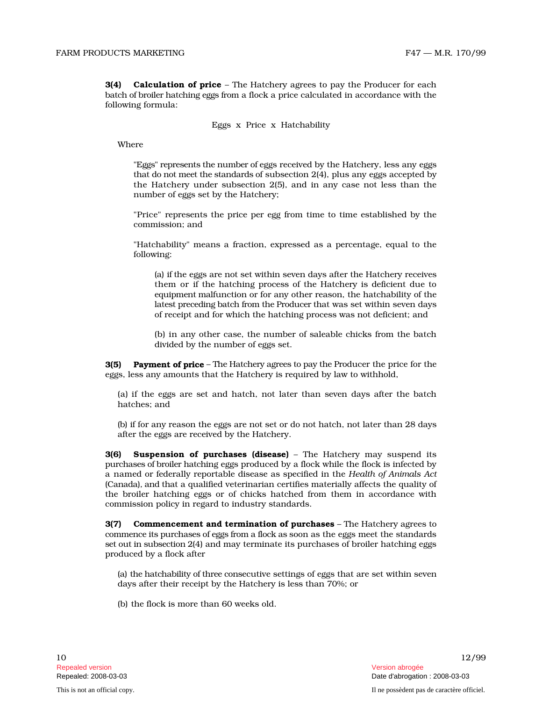3(4) **Calculation of price** - The Hatchery agrees to pay the Producer for each batch of broiler hatching eggs from a flock a price calculated in accordance with the following formula:

## Eggs x Price x Hatchability

Where

s" r e p rese n ts the n u mb er of eggs received by the Hatchery, less any eggs th at do n ot meet the s t an d ar ds of subsection 2(4), plus any eggs accepted by the Hatchery under subsection  $2(5)$ , and in any case not less than the number of eggs set by the Hatchery;

"Price" represents the price per egg from time to time established by the commission; and

"Hatchability" means a fraction, expressed as a percentage, equal to the following:

(a) if the eggs are not set within seven days after the Hatchery receives them or if the hatching process of the Hatchery is deficient due to e qu i p m e nt m alfunction or for any other reason, the hatchability of the latest preceding batch from the Producer that was set within seven days of receipt and for which the hatching process was not deficient; and

(b) in any other case, the number of saleable chicks from the batc h divided by the number of eggs set.

3(5) **Payment of price** – The Hatchery agrees to pay the Producer the price for the eggs, less any amounts that the Hatchery is required by law to withhold,

(a) if the eggs are set and hatch, not later than seven days after t he b a t c h hatches; and

(b) if for any reason the eggs are not set or do not hatch, not later than 28 days after the eggs are received by the Hatchery.

 $3(6)$ spension of purchases (disease) – The Hatchery may suspend its purchases of broiler hatching eggs produced by a flock while the flock is infected by a named or federally reportable disease as specified in the *Health of Animals Act* (Canada), and that a qualified veterinarian certifies materially affects the quality of the broiler hatching eggs or of chicks hatched from them in accordance with commission policy in regard to industry standards.

3(7) Commencement and termination of purchases - The Hatchery agrees to commence its purchases of eggs from a flock as soon as the eggs meet the standards set out in subsection 2(4) and may terminate its purchases of broiler hatching eggs produced by a flock after

(a) the hatchability of th ree c o n secutive settings of eggs that are set within seven days after their receipt by the Hatchery is less than 70%; or

(b) the flock is more than 60 weeks old.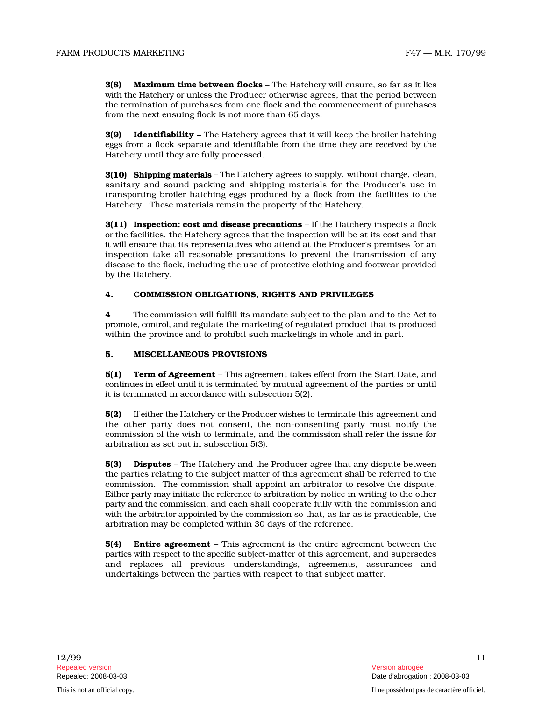3(8) **Maximum time between flocks** – The Hatchery will ensure, so far as it lies with the Hatchery or unless the Producer otherwise agrees, that the period between the termination of purchases from one flock and the commencement of purchases from the next ensuing flock is not more than 65 days.

3(9) Identifiability – The Hatchery agrees that it will keep the broiler hatching eggs from a flock separate and identifiable from the time they are received by the Hatchery until they are fully processed.

**3(10) Shipping materials** – The Hatchery agrees to supply, without charge, clean, sanitary and sound packing and shipping materials for the Producer's use in transporting broiler hatching eggs produced by a flock from the facilities to the Hatchery. These materials remain the property of the Hatchery.

**3(11) Inspection: cost and disease precautions** – If the Hatchery inspects a flock or th e facilities, the Hatchery agrees that the inspection will be at its cost and that it will ensure that its representatives who attend at the Producer's premises for an inspection take all reasonable precautions to prevent the transmission of any d isease to the flock, including the use of protective clothing and footwear provided by the Hatchery.

## 4. COMMISSION OBLIGATIONS, RIGHTS AND PRIVILEGES

4 The commission will fulfill its mandate subject to the plan and to the Act to promote, control, and regulate the marketing of regulated product that is produced within the province and to prohibit such marketings in whole and in part.

#### 5. MISCELLANEOUS PROVISIONS

5(1) **Term of Agreement** – This agreement takes effect from the Start Date, and continues in effect until it is terminated by mutual agreement of the parties or until it is terminated in accordance with subsection 5(2).

5(2) If either the Hatchery or the Producer wishes to terminate this agreement and the other party does not consent, the non-consenting party must notify the commission of the wish to terminate, and the commission shall refer the issue for arbitration as set out in subsection 5(3).

**5(3)** Disputes - The Hatchery and the Producer agree that any dispute between the parties relating to the subject matter of this agreement shall be referred to the commission. The commission shall appoint an arbitrator to resolve the dispute. Either party may initiate the reference to arbitration by notice in writing to the other p arty and the c omm iss i o n , and each shall cooperate fully with the commission and with the arbitrator appointed by the commission so that, as far as is practicable, the arbitration may be completed within 30 days of the reference.

**5(4) Entire agreement** – This agreement is the entire agreement between the parties with respect to the specific subject-matter of this agreement, and supersedes and replaces all previous understandings, agreements, assurances and undertakings between the parties with respect to that subject matter.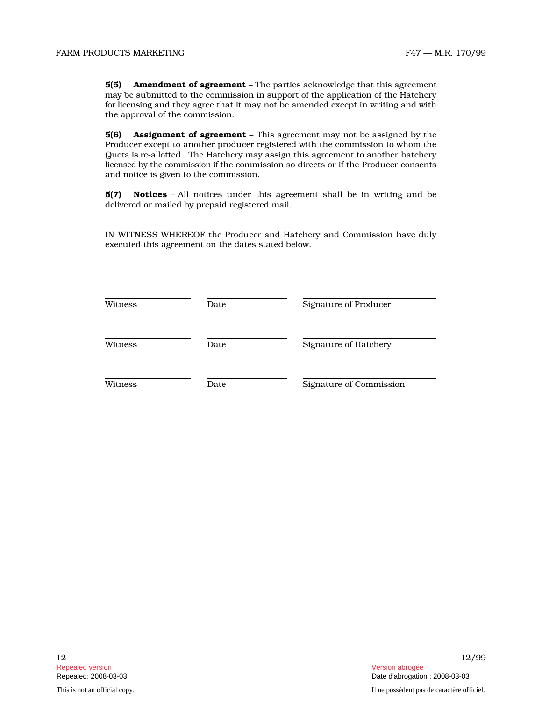5(5) Amendment of agreement - The parties acknowledge that this agreement m ay be submitted to the commission in support of the application of the Hatchery for lice n s i ng and they agree that it may not be amended except in writing and with the approval of the commission.

5(6) Assignment of agreement - This agreement may not be assigned by the Producer except to another producer registered with the commission to whom the Q u o ta is r e - allotted. The Hatchery may assign this agreement to another hatchery lice nsed by the c omm iss i on if the commission so directs or if the Producer consents and notice is given to the commission.

**5(7) Notices** – All notices under this agreement shall be in writing and be delivered or mailed by prepaid registered mail.

IN WITNESS WHEREOF the Producer and Hatchery and Commission have duly executed this agreement on the dates stated below.

| Witness | Date | Signature of Producer   |
|---------|------|-------------------------|
| Witness | Date | Signature of Hatchery   |
| Witness | Date | Signature of Commission |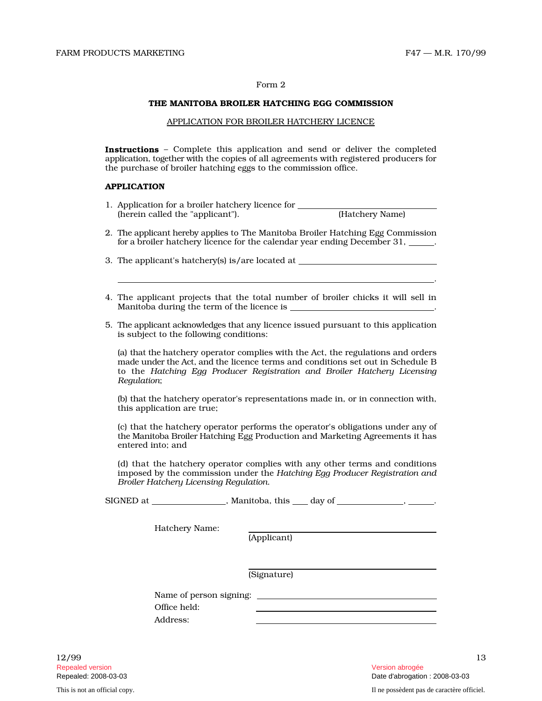.

#### Form 2

#### THE MANITOBA BROILER HATCHING EGG COMMISSION

## APPLICATION FOR BROILER HATCHERY LICENCE

Instructions - Complete this application and send or deliver the completed application, together with the copies of all agreements with registered producers for the purchase of broiler hatching eggs to the commission office.

#### APPLICATION

- 1. Application for a broiler hatchery licence for (herein called the "applicant"). (Hatchery Name)
- 2. The appli c ant h e r eby applies to The Manitoba Broiler Hatching Egg Commission for a broiler hatchery licence for the calendar year ending December 31, .

3. The applicant's hatchery(s) is/are located at

- 4. The applicant projects that the total number of broiler chicks it will sell in Manitoba during the term of the licence is \_ .
- 5. The appli c ant a c kn owl e d ges th at any licence issued pursuant to this application is subject to the following conditions:

(a) that the hatchery operator complies with the Act, the regulations and orders made under the Act, and the licence terms and conditions set out in Schedule B to the *Hatching Egg Producer Registration and Broiler Hatchery Licensing Regulation* ;

( b ) th at the hatchery operator's representations made in, or in connection with, this application are true;

(c) that the hatchery operator performs the operator's obligations under any of the Manitoba Broiler Hatching Egg Production and Marketing Agreements it has entered into; and

(d) that the hatchery operator complies with any other terms and conditions imposed by the commission under the Hatching Egg Producer Registration and *Broiler Hatchery Licensing Regulation* .

SIGNED at \_\_\_\_\_\_\_\_\_\_\_\_\_\_\_, Manitoba, this \_\_\_ day of \_\_\_\_\_\_\_\_\_\_\_\_\_, \_\_\_\_\_\_.

Hatchery Name:

(Applicant)

(Signature)

Name of person signing: Office held: Address:

 $12/99$  13 Repealed version Version abrogée

Repealed: 2008-03-03 Date d'abrogation : 2008-03-03 This is not an official copy. Il ne possèdent pas de caractère officiel.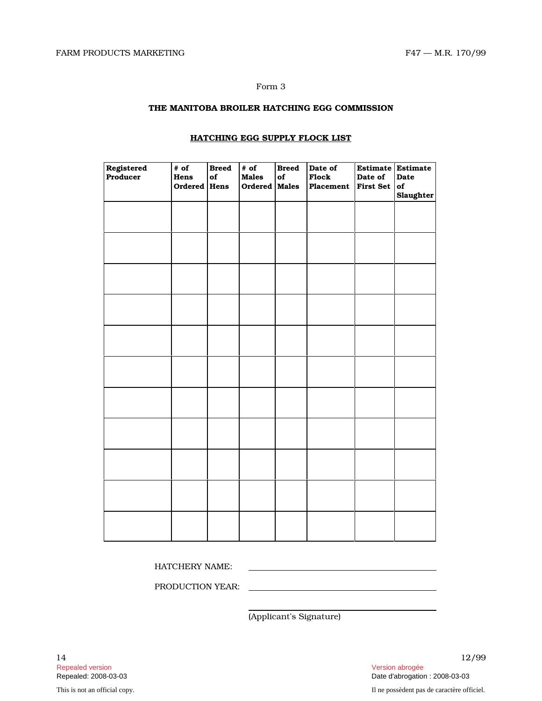#### Form 3

# THE MANITOBA BROILER HATCHING EGG COMMISSION

| Registered<br>Producer | # of<br>Hens<br>Ordered | <b>Breed</b><br>of<br>Hens | # of<br><b>Males</b><br>Ordered Males | <b>Breed</b><br>${\bf of}$ | Date of<br>Flock<br>Placement | Date of<br><b>First Set</b> | Estimate Estimate<br>Date<br>of<br><b>Slaughter</b> |
|------------------------|-------------------------|----------------------------|---------------------------------------|----------------------------|-------------------------------|-----------------------------|-----------------------------------------------------|
|                        |                         |                            |                                       |                            |                               |                             |                                                     |
|                        |                         |                            |                                       |                            |                               |                             |                                                     |
|                        |                         |                            |                                       |                            |                               |                             |                                                     |
|                        |                         |                            |                                       |                            |                               |                             |                                                     |
|                        |                         |                            |                                       |                            |                               |                             |                                                     |
|                        |                         |                            |                                       |                            |                               |                             |                                                     |
|                        |                         |                            |                                       |                            |                               |                             |                                                     |
|                        |                         |                            |                                       |                            |                               |                             |                                                     |
|                        |                         |                            |                                       |                            |                               |                             |                                                     |
|                        |                         |                            |                                       |                            |                               |                             |                                                     |
|                        |                         |                            |                                       |                            |                               |                             |                                                     |

# HATCHING EGG SUPPLY FLOCK LIST

HATCHERY NAME:

PRODUCTION YEAR:

(Applicant's Signature)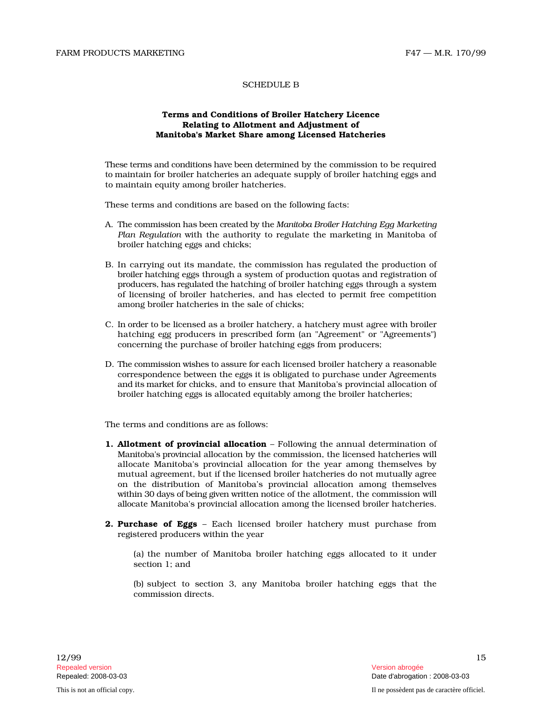# SCHEDULE B

# Terms and Conditions of Broiler Hatchery Licence Relating to Allotment and Adjustment of Manitoba's Market Share among Licensed Hatcheries

These terms and conditions have been determined by the commission to be required to maintain for broiler hatcheries an adequate supply of broiler hatching eggs and to maintain equity among broiler hatcheries.

These terms and conditions are based on the following facts:

- A. The c omm iss i on h as been c r e at ed by the *Man ito ba B roiler Hatching Egg Marketing Plan Regulation* with the authority to regulate the marketing in Manitoba of broiler hatching eggs and chicks;
- B. In carrying out its mandate, the commission has regulated the production of broiler hatching eggs through a system of production quotas and registration of producers, has regulated the hatching of broiler hatching eggs through a system of licensing of broiler hatcheries, and has elected to permit free competition among broiler hatcheries in the sale of chicks;
- C. In order to be licensed as a broiler hatchery, a hatchery must agree with broiler hatching egg producers in prescribed form (an "Agreement" or "Agreements") concerning the purchase of broiler hatching eggs from producers;
- D. The commission wishes to assure for each licensed broiler hatchery a reasonable correspondence between the eggs it is obligated to purchase under Agreements and i ts m arket for c hicks, and to ensure that Manitoba's provincial allocation of broiler hatching eggs is allocated equitably among the broiler hatcheries;

The terms and conditions are as follows:

- 1. Allotment of provincial allocation Following the annual determination of Manitoba's provincial allocation by the commission, the licensed hatcheries will allocate Manitoba's provincial allocation for the year among themselves by mutual agreement, but if the licensed broiler hatcheries do not mutually agree on the distribution of Manitoba's provincial allocation among themselves wi th in 30 d ays of b e i ng given writt en n o tice of the allotment, the commission will all o cate Manitoba's provincial allocation among the licensed broiler hatcheries.
- 2. Purchase of Eggs Each licensed broiler hatchery must purchase from registered producers within the year

(a) the number of Manitoba broiler hatching eggs allocated to it under section 1; and

(b) subject to section 3, any Manitoba broiler hatching eggs that the commission directs.